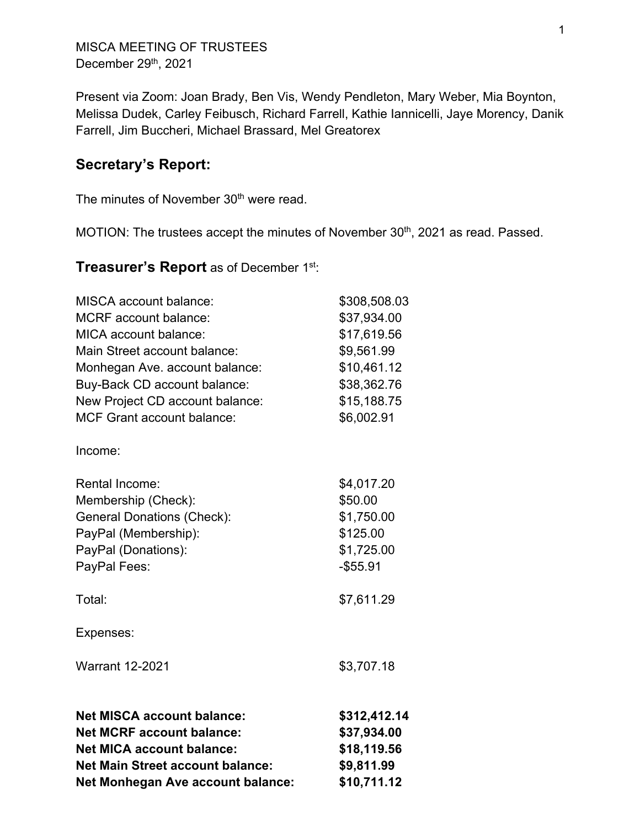MISCA MEETING OF TRUSTEES December 29th, 2021

Present via Zoom: Joan Brady, Ben Vis, Wendy Pendleton, Mary Weber, Mia Boynton, Melissa Dudek, Carley Feibusch, Richard Farrell, Kathie Iannicelli, Jaye Morency, Danik Farrell, Jim Buccheri, Michael Brassard, Mel Greatorex

# **Secretary's Report:**

The minutes of November 30<sup>th</sup> were read.

MOTION: The trustees accept the minutes of November 30<sup>th</sup>, 2021 as read. Passed.

**Treasurer's Report** as of December 1st:

| <b>Net MISCA account balance:</b><br><b>Net MCRF account balance:</b><br><b>Net MICA account balance:</b><br><b>Net Main Street account balance:</b><br>Net Monhegan Ave account balance:                                              | \$312,412.14<br>\$37,934.00<br>\$18,119.56<br>\$9,811.99<br>\$10,711.12                             |
|----------------------------------------------------------------------------------------------------------------------------------------------------------------------------------------------------------------------------------------|-----------------------------------------------------------------------------------------------------|
| <b>Warrant 12-2021</b>                                                                                                                                                                                                                 | \$3,707.18                                                                                          |
| Expenses:                                                                                                                                                                                                                              |                                                                                                     |
| Total:                                                                                                                                                                                                                                 | \$7,611.29                                                                                          |
| Membership (Check):<br><b>General Donations (Check):</b><br>PayPal (Membership):<br>PayPal (Donations):<br>PayPal Fees:                                                                                                                | \$50.00<br>\$1,750.00<br>\$125.00<br>\$1,725.00<br>$- $55.91$                                       |
| <b>Rental Income:</b>                                                                                                                                                                                                                  | \$4,017.20                                                                                          |
| Income:                                                                                                                                                                                                                                |                                                                                                     |
| <b>MCRF</b> account balance:<br><b>MICA</b> account balance:<br>Main Street account balance:<br>Monhegan Ave. account balance:<br>Buy-Back CD account balance:<br>New Project CD account balance:<br><b>MCF Grant account balance:</b> | \$37,934.00<br>\$17,619.56<br>\$9,561.99<br>\$10,461.12<br>\$38,362.76<br>\$15,188.75<br>\$6,002.91 |
| <b>MISCA</b> account balance:                                                                                                                                                                                                          | \$308,508.03                                                                                        |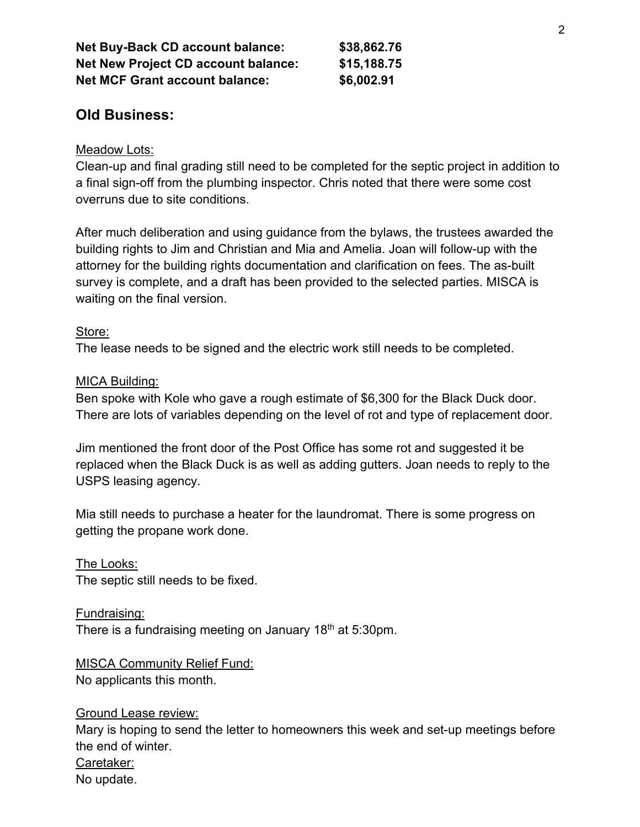| <b>Net Buy-Back CD account balance:</b><br><b>Net New Project CD account balance:</b> | \$38,862.76<br>\$15,188.75 |
|---------------------------------------------------------------------------------------|----------------------------|
|                                                                                       |                            |

## **Old Business:**

## Meadow Lots:

Clean-up and final grading still need to be completed for the septic project in addition to a final sign-off from the plumbing inspector. Chris noted that there were some cost overruns due to site conditions.

After much deliberation and using guidance from the bylaws, the trustees awarded the building rights to Jim and Christian and Mia and Amelia. Joan will follow-up with the attorney for the building rights documentation and clarification on fees. The as-built survey is complete, and a draft has been provided to the selected parties. MISCA is waiting on the final version.

#### Store:

The lease needs to be signed and the electric work still needs to be completed.

## MICA Building:

Ben spoke with Kole who gave a rough estimate of \$6,300 for the Black Duck door. There are lots of variables depending on the level of rot and type of replacement door.

Jim mentioned the front door of the Post Office has some rot and suggested it be replaced when the Black Duck is as well as adding gutters. Joan needs to reply to the USPS leasing agency.

Mia still needs to purchase a heater for the laundromat. There is some progress on getting the propane work done.

The Looks: The septic still needs to be fixed.

Fundraising: There is a fundraising meeting on January 18<sup>th</sup> at 5:30pm.

MISCA Community Relief Fund: No applicants this month.

Ground Lease review: Mary is hoping to send the letter to homeowners this week and set-up meetings before the end of winter. Caretaker: No update.